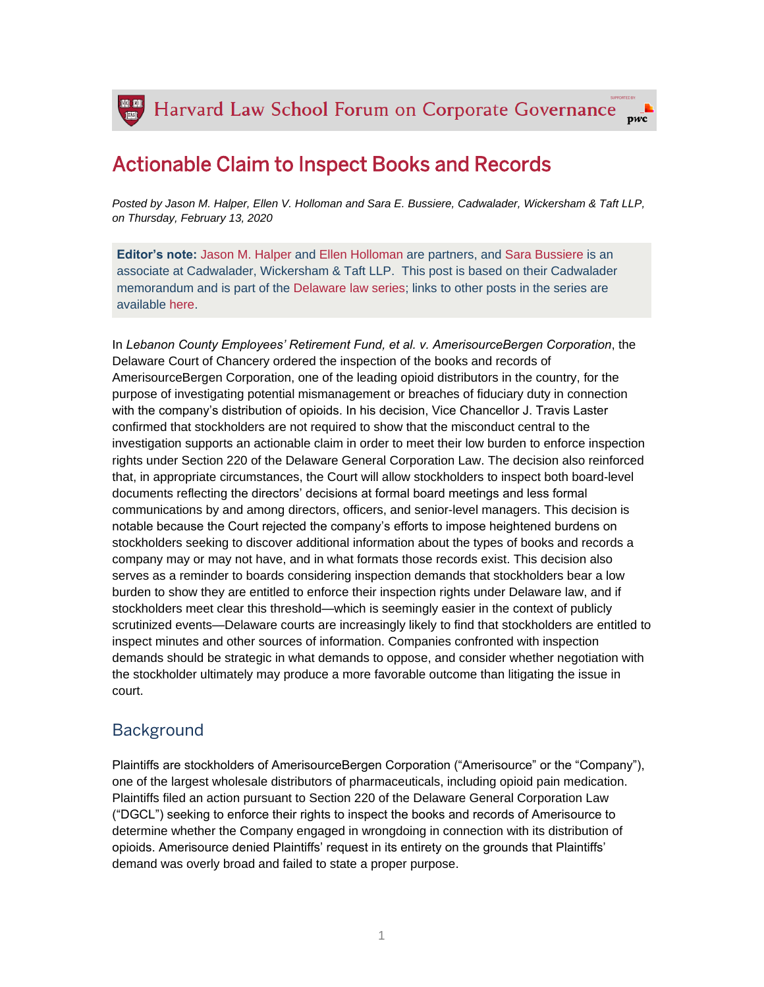## Actionable Claim to Inspect Books and Records

*Posted by Jason M. Halper, Ellen V. Holloman and Sara E. Bussiere, Cadwalader, Wickersham & Taft LLP, on Thursday, February 13, 2020*

**Editor's note:** [Jason M. Halper](https://www.cadwalader.com/professionals/jason-halper) and [Ellen Holloman](https://www.cadwalader.com/professionals/ellen-holloman) are partners, and [Sara Bussiere](https://www.cadwalader.com/professionals/sara-bussiere) is an associate at Cadwalader, Wickersham & Taft LLP. This post is based on their Cadwalader memorandum and is part of the [Delaware law series;](https://corpgov.law.harvard.edu/the-delaware-law-series/) links to other posts in the series are available [here.](https://corpgov.law.harvard.edu/the-delaware-law-series/)

In *Lebanon County Employees' Retirement Fund, et al. v. AmerisourceBergen Corporation*, the Delaware Court of Chancery ordered the inspection of the books and records of AmerisourceBergen Corporation, one of the leading opioid distributors in the country, for the purpose of investigating potential mismanagement or breaches of fiduciary duty in connection with the company's distribution of opioids. In his decision, Vice Chancellor J. Travis Laster confirmed that stockholders are not required to show that the misconduct central to the investigation supports an actionable claim in order to meet their low burden to enforce inspection rights under Section 220 of the Delaware General Corporation Law. The decision also reinforced that, in appropriate circumstances, the Court will allow stockholders to inspect both board-level documents reflecting the directors' decisions at formal board meetings and less formal communications by and among directors, officers, and senior-level managers. This decision is notable because the Court rejected the company's efforts to impose heightened burdens on stockholders seeking to discover additional information about the types of books and records a company may or may not have, and in what formats those records exist. This decision also serves as a reminder to boards considering inspection demands that stockholders bear a low burden to show they are entitled to enforce their inspection rights under Delaware law, and if stockholders meet clear this threshold—which is seemingly easier in the context of publicly scrutinized events—Delaware courts are increasingly likely to find that stockholders are entitled to inspect minutes and other sources of information. Companies confronted with inspection demands should be strategic in what demands to oppose, and consider whether negotiation with the stockholder ultimately may produce a more favorable outcome than litigating the issue in court.

## **Background**

Plaintiffs are stockholders of AmerisourceBergen Corporation ("Amerisource" or the "Company"), one of the largest wholesale distributors of pharmaceuticals, including opioid pain medication. Plaintiffs filed an action pursuant to Section 220 of the Delaware General Corporation Law ("DGCL") seeking to enforce their rights to inspect the books and records of Amerisource to determine whether the Company engaged in wrongdoing in connection with its distribution of opioids. Amerisource denied Plaintiffs' request in its entirety on the grounds that Plaintiffs' demand was overly broad and failed to state a proper purpose.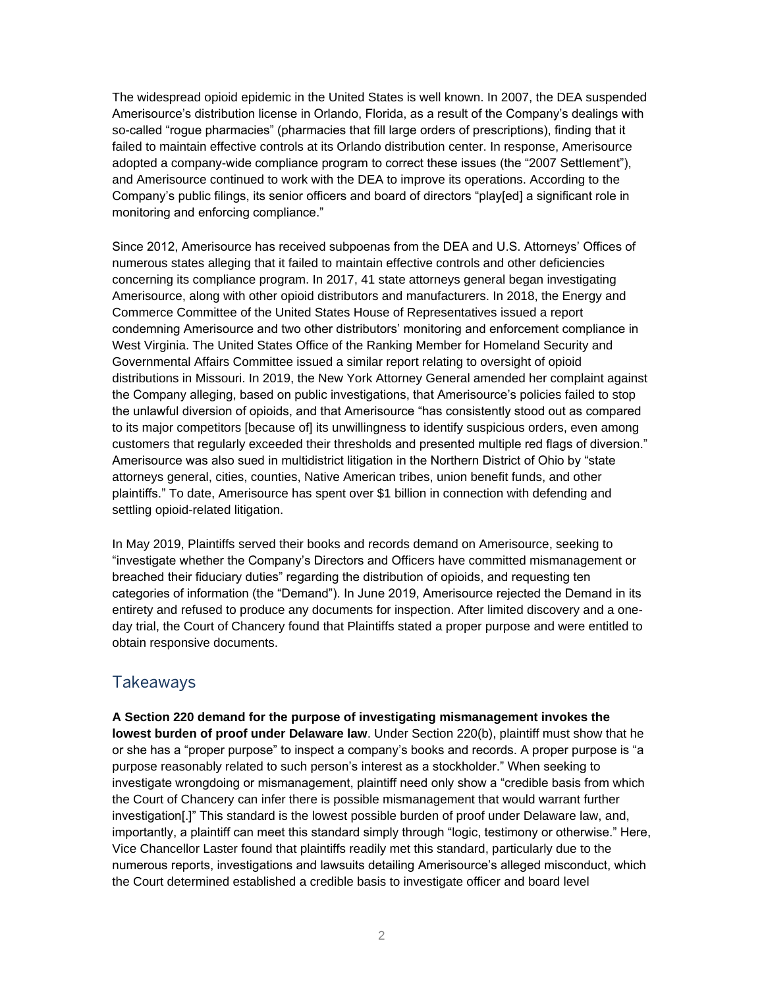The widespread opioid epidemic in the United States is well known. In 2007, the DEA suspended Amerisource's distribution license in Orlando, Florida, as a result of the Company's dealings with so-called "rogue pharmacies" (pharmacies that fill large orders of prescriptions), finding that it failed to maintain effective controls at its Orlando distribution center. In response, Amerisource adopted a company-wide compliance program to correct these issues (the "2007 Settlement"), and Amerisource continued to work with the DEA to improve its operations. According to the Company's public filings, its senior officers and board of directors "play[ed] a significant role in monitoring and enforcing compliance."

Since 2012, Amerisource has received subpoenas from the DEA and U.S. Attorneys' Offices of numerous states alleging that it failed to maintain effective controls and other deficiencies concerning its compliance program. In 2017, 41 state attorneys general began investigating Amerisource, along with other opioid distributors and manufacturers. In 2018, the Energy and Commerce Committee of the United States House of Representatives issued a report condemning Amerisource and two other distributors' monitoring and enforcement compliance in West Virginia. The United States Office of the Ranking Member for Homeland Security and Governmental Affairs Committee issued a similar report relating to oversight of opioid distributions in Missouri. In 2019, the New York Attorney General amended her complaint against the Company alleging, based on public investigations, that Amerisource's policies failed to stop the unlawful diversion of opioids, and that Amerisource "has consistently stood out as compared to its major competitors [because of] its unwillingness to identify suspicious orders, even among customers that regularly exceeded their thresholds and presented multiple red flags of diversion." Amerisource was also sued in multidistrict litigation in the Northern District of Ohio by "state attorneys general, cities, counties, Native American tribes, union benefit funds, and other plaintiffs." To date, Amerisource has spent over \$1 billion in connection with defending and settling opioid-related litigation.

In May 2019, Plaintiffs served their books and records demand on Amerisource, seeking to "investigate whether the Company's Directors and Officers have committed mismanagement or breached their fiduciary duties" regarding the distribution of opioids, and requesting ten categories of information (the "Demand"). In June 2019, Amerisource rejected the Demand in its entirety and refused to produce any documents for inspection. After limited discovery and a oneday trial, the Court of Chancery found that Plaintiffs stated a proper purpose and were entitled to obtain responsive documents.

## Takeaways

**A Section 220 demand for the purpose of investigating mismanagement invokes the lowest burden of proof under Delaware law**. Under Section 220(b), plaintiff must show that he or she has a "proper purpose" to inspect a company's books and records. A proper purpose is "a purpose reasonably related to such person's interest as a stockholder." When seeking to investigate wrongdoing or mismanagement, plaintiff need only show a "credible basis from which the Court of Chancery can infer there is possible mismanagement that would warrant further investigation[.]" This standard is the lowest possible burden of proof under Delaware law, and, importantly, a plaintiff can meet this standard simply through "logic, testimony or otherwise." Here, Vice Chancellor Laster found that plaintiffs readily met this standard, particularly due to the numerous reports, investigations and lawsuits detailing Amerisource's alleged misconduct, which the Court determined established a credible basis to investigate officer and board level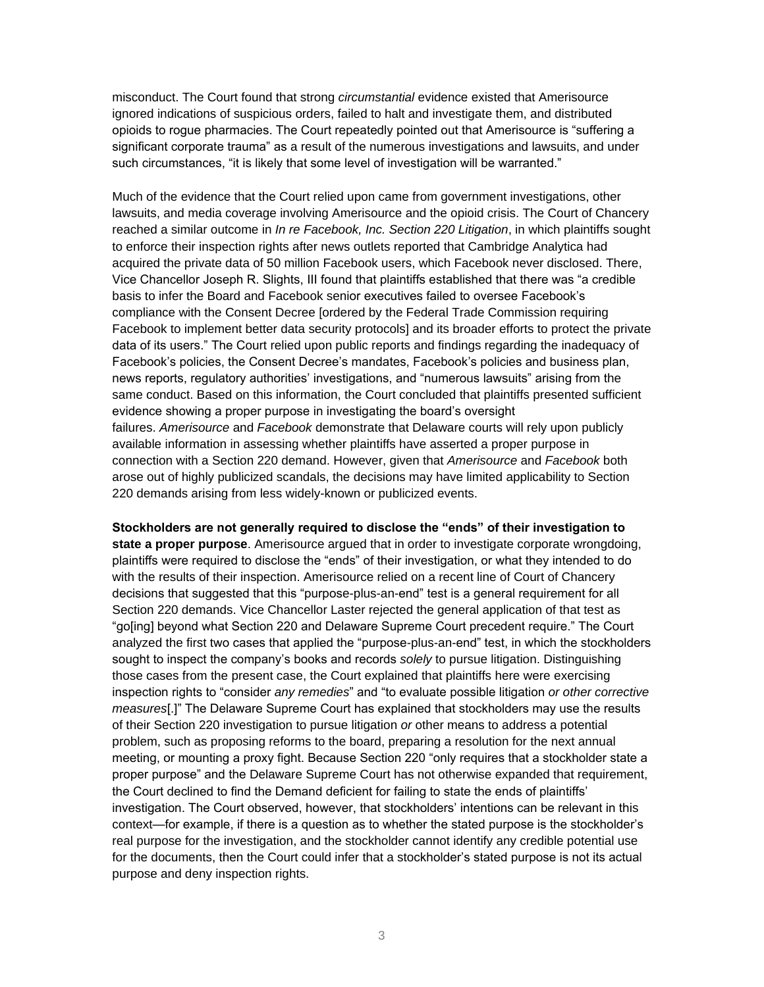misconduct. The Court found that strong *circumstantial* evidence existed that Amerisource ignored indications of suspicious orders, failed to halt and investigate them, and distributed opioids to rogue pharmacies. The Court repeatedly pointed out that Amerisource is "suffering a significant corporate trauma" as a result of the numerous investigations and lawsuits, and under such circumstances, "it is likely that some level of investigation will be warranted."

Much of the evidence that the Court relied upon came from government investigations, other lawsuits, and media coverage involving Amerisource and the opioid crisis. The Court of Chancery reached a similar outcome in *In re Facebook, Inc. Section 220 Litigation*, in which plaintiffs sought to enforce their inspection rights after news outlets reported that Cambridge Analytica had acquired the private data of 50 million Facebook users, which Facebook never disclosed. There, Vice Chancellor Joseph R. Slights, III found that plaintiffs established that there was "a credible basis to infer the Board and Facebook senior executives failed to oversee Facebook's compliance with the Consent Decree [ordered by the Federal Trade Commission requiring Facebook to implement better data security protocols] and its broader efforts to protect the private data of its users." The Court relied upon public reports and findings regarding the inadequacy of Facebook's policies, the Consent Decree's mandates, Facebook's policies and business plan, news reports, regulatory authorities' investigations, and "numerous lawsuits" arising from the same conduct. Based on this information, the Court concluded that plaintiffs presented sufficient evidence showing a proper purpose in investigating the board's oversight failures. *Amerisource* and *Facebook* demonstrate that Delaware courts will rely upon publicly available information in assessing whether plaintiffs have asserted a proper purpose in connection with a Section 220 demand. However, given that *Amerisource* and *Facebook* both arose out of highly publicized scandals, the decisions may have limited applicability to Section 220 demands arising from less widely-known or publicized events.

**Stockholders are not generally required to disclose the "ends" of their investigation to state a proper purpose**. Amerisource argued that in order to investigate corporate wrongdoing, plaintiffs were required to disclose the "ends" of their investigation, or what they intended to do with the results of their inspection. Amerisource relied on a recent line of Court of Chancery decisions that suggested that this "purpose-plus-an-end" test is a general requirement for all Section 220 demands. Vice Chancellor Laster rejected the general application of that test as "go[ing] beyond what Section 220 and Delaware Supreme Court precedent require." The Court analyzed the first two cases that applied the "purpose-plus-an-end" test, in which the stockholders sought to inspect the company's books and records *solely* to pursue litigation. Distinguishing those cases from the present case, the Court explained that plaintiffs here were exercising inspection rights to "consider *any remedies*" and "to evaluate possible litigation *or other corrective measures*[.]" The Delaware Supreme Court has explained that stockholders may use the results of their Section 220 investigation to pursue litigation *or* other means to address a potential problem, such as proposing reforms to the board, preparing a resolution for the next annual meeting, or mounting a proxy fight. Because Section 220 "only requires that a stockholder state a proper purpose" and the Delaware Supreme Court has not otherwise expanded that requirement, the Court declined to find the Demand deficient for failing to state the ends of plaintiffs' investigation. The Court observed, however, that stockholders' intentions can be relevant in this context—for example, if there is a question as to whether the stated purpose is the stockholder's real purpose for the investigation, and the stockholder cannot identify any credible potential use for the documents, then the Court could infer that a stockholder's stated purpose is not its actual purpose and deny inspection rights.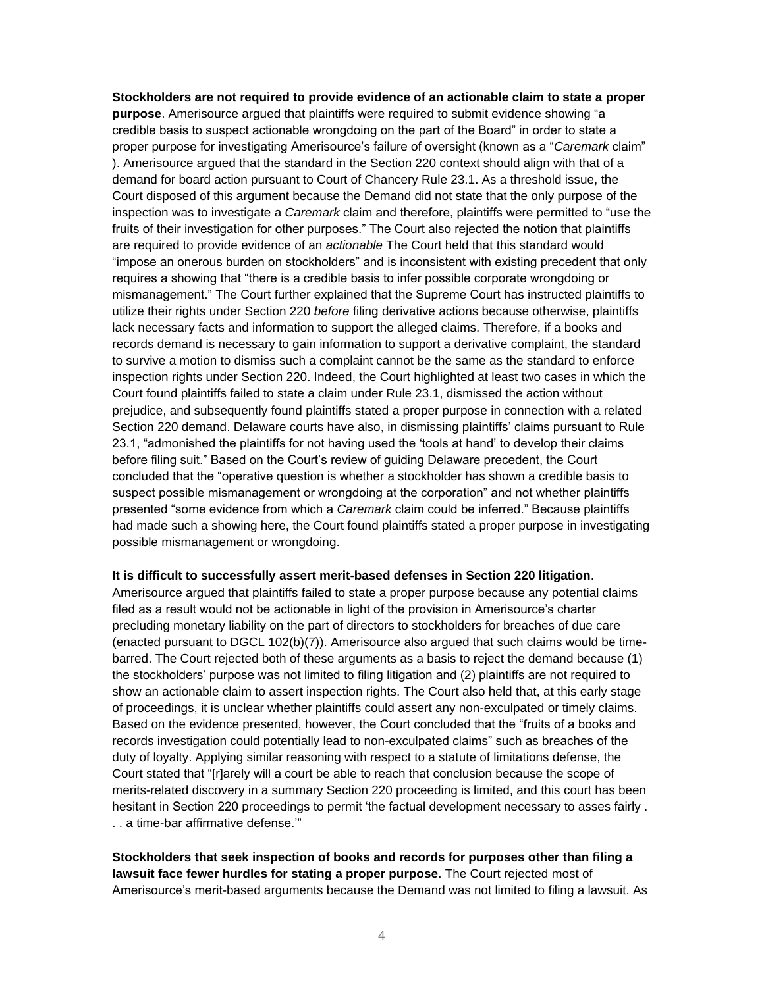**Stockholders are not required to provide evidence of an actionable claim to state a proper purpose**. Amerisource argued that plaintiffs were required to submit evidence showing "a credible basis to suspect actionable wrongdoing on the part of the Board" in order to state a proper purpose for investigating Amerisource's failure of oversight (known as a "*Caremark* claim" ). Amerisource argued that the standard in the Section 220 context should align with that of a demand for board action pursuant to Court of Chancery Rule 23.1. As a threshold issue, the Court disposed of this argument because the Demand did not state that the only purpose of the inspection was to investigate a *Caremark* claim and therefore, plaintiffs were permitted to "use the fruits of their investigation for other purposes." The Court also rejected the notion that plaintiffs are required to provide evidence of an *actionable* The Court held that this standard would "impose an onerous burden on stockholders" and is inconsistent with existing precedent that only requires a showing that "there is a credible basis to infer possible corporate wrongdoing or mismanagement." The Court further explained that the Supreme Court has instructed plaintiffs to utilize their rights under Section 220 *before* filing derivative actions because otherwise, plaintiffs lack necessary facts and information to support the alleged claims. Therefore, if a books and records demand is necessary to gain information to support a derivative complaint, the standard to survive a motion to dismiss such a complaint cannot be the same as the standard to enforce inspection rights under Section 220. Indeed, the Court highlighted at least two cases in which the Court found plaintiffs failed to state a claim under Rule 23.1, dismissed the action without prejudice, and subsequently found plaintiffs stated a proper purpose in connection with a related Section 220 demand. Delaware courts have also, in dismissing plaintiffs' claims pursuant to Rule 23.1, "admonished the plaintiffs for not having used the 'tools at hand' to develop their claims before filing suit." Based on the Court's review of guiding Delaware precedent, the Court concluded that the "operative question is whether a stockholder has shown a credible basis to suspect possible mismanagement or wrongdoing at the corporation" and not whether plaintiffs presented "some evidence from which a *Caremark* claim could be inferred." Because plaintiffs had made such a showing here, the Court found plaintiffs stated a proper purpose in investigating possible mismanagement or wrongdoing.

## **It is difficult to successfully assert merit-based defenses in Section 220 litigation**.

Amerisource argued that plaintiffs failed to state a proper purpose because any potential claims filed as a result would not be actionable in light of the provision in Amerisource's charter precluding monetary liability on the part of directors to stockholders for breaches of due care (enacted pursuant to DGCL 102(b)(7)). Amerisource also argued that such claims would be timebarred. The Court rejected both of these arguments as a basis to reject the demand because (1) the stockholders' purpose was not limited to filing litigation and (2) plaintiffs are not required to show an actionable claim to assert inspection rights. The Court also held that, at this early stage of proceedings, it is unclear whether plaintiffs could assert any non-exculpated or timely claims. Based on the evidence presented, however, the Court concluded that the "fruits of a books and records investigation could potentially lead to non-exculpated claims" such as breaches of the duty of loyalty. Applying similar reasoning with respect to a statute of limitations defense, the Court stated that "[r]arely will a court be able to reach that conclusion because the scope of merits-related discovery in a summary Section 220 proceeding is limited, and this court has been hesitant in Section 220 proceedings to permit 'the factual development necessary to asses fairly . . . a time-bar affirmative defense.'"

**Stockholders that seek inspection of books and records for purposes other than filing a lawsuit face fewer hurdles for stating a proper purpose**. The Court rejected most of Amerisource's merit-based arguments because the Demand was not limited to filing a lawsuit. As